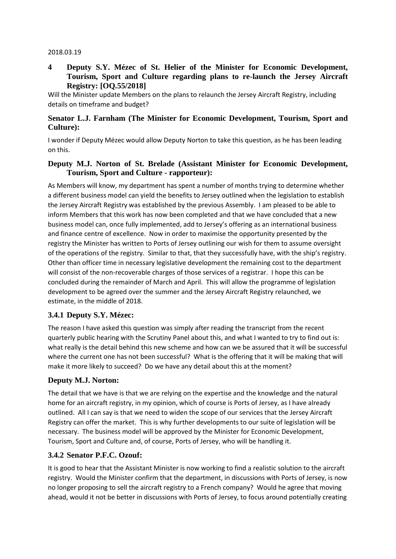#### 2018.03.19

#### **4 Deputy S.Y. Mézec of St. Helier of the Minister for Economic Development, Tourism, Sport and Culture regarding plans to re-launch the Jersey Aircraft Registry: [OQ.55/2018]**

Will the Minister update Members on the plans to relaunch the Jersey Aircraft Registry, including details on timeframe and budget?

#### **Senator L.J. Farnham (The Minister for Economic Development, Tourism, Sport and Culture):**

I wonder if Deputy Mézec would allow Deputy Norton to take this question, as he has been leading on this.

#### **Deputy M.J. Norton of St. Brelade (Assistant Minister for Economic Development, Tourism, Sport and Culture - rapporteur):**

As Members will know, my department has spent a number of months trying to determine whether a different business model can yield the benefits to Jersey outlined when the legislation to establish the Jersey Aircraft Registry was established by the previous Assembly. I am pleased to be able to inform Members that this work has now been completed and that we have concluded that a new business model can, once fully implemented, add to Jersey's offering as an international business and finance centre of excellence. Now in order to maximise the opportunity presented by the registry the Minister has written to Ports of Jersey outlining our wish for them to assume oversight of the operations of the registry. Similar to that, that they successfully have, with the ship's registry. Other than officer time in necessary legislative development the remaining cost to the department will consist of the non-recoverable charges of those services of a registrar. I hope this can be concluded during the remainder of March and April. This will allow the programme of legislation development to be agreed over the summer and the Jersey Aircraft Registry relaunched, we estimate, in the middle of 2018.

#### **3.4.1 Deputy S.Y. Mézec:**

The reason I have asked this question was simply after reading the transcript from the recent quarterly public hearing with the Scrutiny Panel about this, and what I wanted to try to find out is: what really is the detail behind this new scheme and how can we be assured that it will be successful where the current one has not been successful? What is the offering that it will be making that will make it more likely to succeed? Do we have any detail about this at the moment?

#### **Deputy M.J. Norton:**

The detail that we have is that we are relying on the expertise and the knowledge and the natural home for an aircraft registry, in my opinion, which of course is Ports of Jersey, as I have already outlined. All I can say is that we need to widen the scope of our services that the Jersey Aircraft Registry can offer the market. This is why further developments to our suite of legislation will be necessary. The business model will be approved by the Minister for Economic Development, Tourism, Sport and Culture and, of course, Ports of Jersey, who will be handling it.

#### **3.4.2 Senator P.F.C. Ozouf:**

It is good to hear that the Assistant Minister is now working to find a realistic solution to the aircraft registry. Would the Minister confirm that the department, in discussions with Ports of Jersey, is now no longer proposing to sell the aircraft registry to a French company? Would he agree that moving ahead, would it not be better in discussions with Ports of Jersey, to focus around potentially creating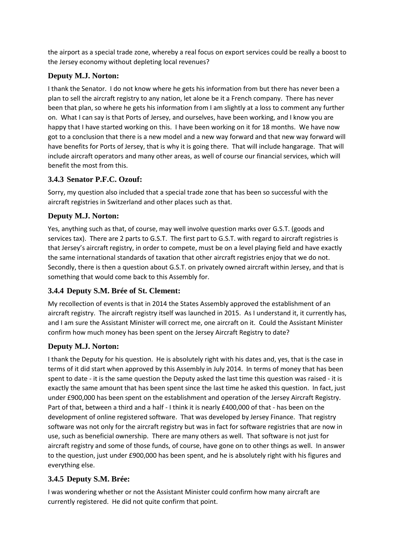the airport as a special trade zone, whereby a real focus on export services could be really a boost to the Jersey economy without depleting local revenues?

## **Deputy M.J. Norton:**

I thank the Senator. I do not know where he gets his information from but there has never been a plan to sell the aircraft registry to any nation, let alone be it a French company. There has never been that plan, so where he gets his information from I am slightly at a loss to comment any further on. What I can say is that Ports of Jersey, and ourselves, have been working, and I know you are happy that I have started working on this. I have been working on it for 18 months. We have now got to a conclusion that there is a new model and a new way forward and that new way forward will have benefits for Ports of Jersey, that is why it is going there. That will include hangarage. That will include aircraft operators and many other areas, as well of course our financial services, which will benefit the most from this.

### **3.4.3 Senator P.F.C. Ozouf:**

Sorry, my question also included that a special trade zone that has been so successful with the aircraft registries in Switzerland and other places such as that.

### **Deputy M.J. Norton:**

Yes, anything such as that, of course, may well involve question marks over G.S.T. (goods and services tax). There are 2 parts to G.S.T. The first part to G.S.T. with regard to aircraft registries is that Jersey's aircraft registry, in order to compete, must be on a level playing field and have exactly the same international standards of taxation that other aircraft registries enjoy that we do not. Secondly, there is then a question about G.S.T. on privately owned aircraft within Jersey, and that is something that would come back to this Assembly for.

# **3.4.4 Deputy S.M. Brée of St. Clement:**

My recollection of events is that in 2014 the States Assembly approved the establishment of an aircraft registry. The aircraft registry itself was launched in 2015. As I understand it, it currently has, and I am sure the Assistant Minister will correct me, one aircraft on it. Could the Assistant Minister confirm how much money has been spent on the Jersey Aircraft Registry to date?

# **Deputy M.J. Norton:**

I thank the Deputy for his question. He is absolutely right with his dates and, yes, that is the case in terms of it did start when approved by this Assembly in July 2014. In terms of money that has been spent to date - it is the same question the Deputy asked the last time this question was raised - it is exactly the same amount that has been spent since the last time he asked this question. In fact, just under £900,000 has been spent on the establishment and operation of the Jersey Aircraft Registry. Part of that, between a third and a half - I think it is nearly £400,000 of that - has been on the development of online registered software. That was developed by Jersey Finance. That registry software was not only for the aircraft registry but was in fact for software registries that are now in use, such as beneficial ownership. There are many others as well. That software is not just for aircraft registry and some of those funds, of course, have gone on to other things as well. In answer to the question, just under £900,000 has been spent, and he is absolutely right with his figures and everything else.

# **3.4.5 Deputy S.M. Brée:**

I was wondering whether or not the Assistant Minister could confirm how many aircraft are currently registered. He did not quite confirm that point.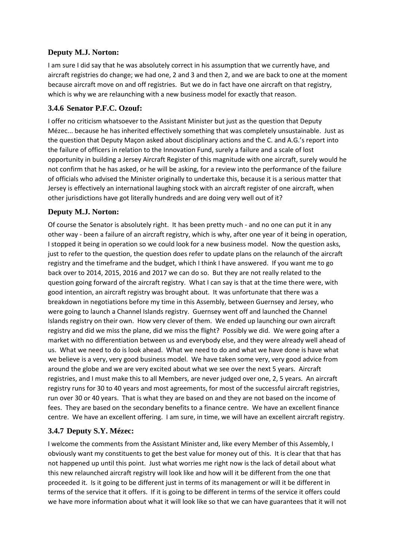## **Deputy M.J. Norton:**

I am sure I did say that he was absolutely correct in his assumption that we currently have, and aircraft registries do change; we had one, 2 and 3 and then 2, and we are back to one at the moment because aircraft move on and off registries. But we do in fact have one aircraft on that registry, which is why we are relaunching with a new business model for exactly that reason.

### **3.4.6 Senator P.F.C. Ozouf:**

I offer no criticism whatsoever to the Assistant Minister but just as the question that Deputy Mézec... because he has inherited effectively something that was completely unsustainable. Just as the question that Deputy Maçon asked about disciplinary actions and the C. and A.G.'s report into the failure of officers in relation to the Innovation Fund, surely a failure and a scale of lost opportunity in building a Jersey Aircraft Register of this magnitude with one aircraft, surely would he not confirm that he has asked, or he will be asking, for a review into the performance of the failure of officials who advised the Minister originally to undertake this, because it is a serious matter that Jersey is effectively an international laughing stock with an aircraft register of one aircraft, when other jurisdictions have got literally hundreds and are doing very well out of it?

### **Deputy M.J. Norton:**

Of course the Senator is absolutely right. It has been pretty much - and no one can put it in any other way - been a failure of an aircraft registry, which is why, after one year of it being in operation, I stopped it being in operation so we could look for a new business model. Now the question asks, just to refer to the question, the question does refer to update plans on the relaunch of the aircraft registry and the timeframe and the budget, which I think I have answered. If you want me to go back over to 2014, 2015, 2016 and 2017 we can do so. But they are not really related to the question going forward of the aircraft registry. What I can say is that at the time there were, with good intention, an aircraft registry was brought about. It was unfortunate that there was a breakdown in negotiations before my time in this Assembly, between Guernsey and Jersey, who were going to launch a Channel Islands registry. Guernsey went off and launched the Channel Islands registry on their own. How very clever of them. We ended up launching our own aircraft registry and did we miss the plane, did we miss the flight? Possibly we did. We were going after a market with no differentiation between us and everybody else, and they were already well ahead of us. What we need to do is look ahead. What we need to do and what we have done is have what we believe is a very, very good business model. We have taken some very, very good advice from around the globe and we are very excited about what we see over the next 5 years. Aircraft registries, and I must make this to all Members, are never judged over one, 2, 5 years. An aircraft registry runs for 30 to 40 years and most agreements, for most of the successful aircraft registries, run over 30 or 40 years. That is what they are based on and they are not based on the income of fees. They are based on the secondary benefits to a finance centre. We have an excellent finance centre. We have an excellent offering. I am sure, in time, we will have an excellent aircraft registry.

# **3.4.7 Deputy S.Y. Mézec:**

I welcome the comments from the Assistant Minister and, like every Member of this Assembly, I obviously want my constituents to get the best value for money out of this. It is clear that that has not happened up until this point. Just what worries me right now is the lack of detail about what this new relaunched aircraft registry will look like and how will it be different from the one that proceeded it. Is it going to be different just in terms of its management or will it be different in terms of the service that it offers. If it is going to be different in terms of the service it offers could we have more information about what it will look like so that we can have guarantees that it will not